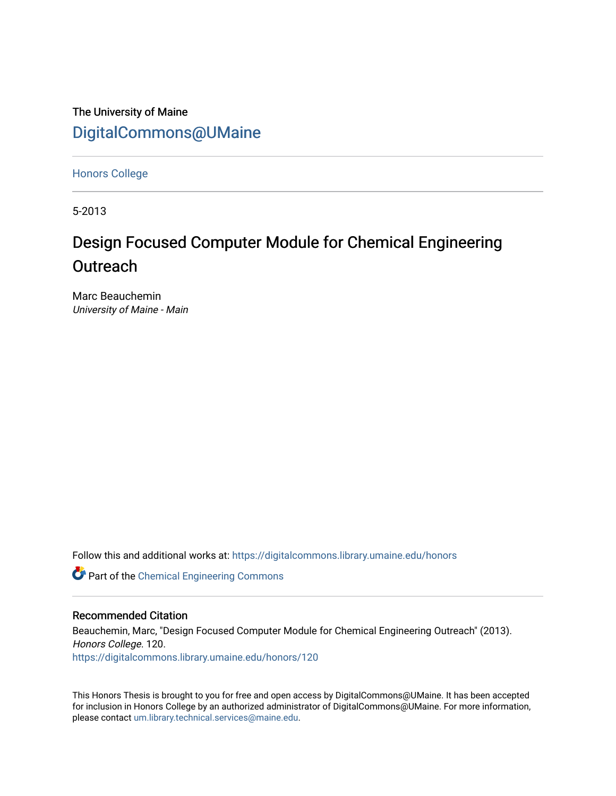The University of Maine [DigitalCommons@UMaine](https://digitalcommons.library.umaine.edu/)

[Honors College](https://digitalcommons.library.umaine.edu/honors)

5-2013

# Design Focused Computer Module for Chemical Engineering **Outreach**

Marc Beauchemin University of Maine - Main

Follow this and additional works at: [https://digitalcommons.library.umaine.edu/honors](https://digitalcommons.library.umaine.edu/honors?utm_source=digitalcommons.library.umaine.edu%2Fhonors%2F120&utm_medium=PDF&utm_campaign=PDFCoverPages) 

Part of the [Chemical Engineering Commons](http://network.bepress.com/hgg/discipline/240?utm_source=digitalcommons.library.umaine.edu%2Fhonors%2F120&utm_medium=PDF&utm_campaign=PDFCoverPages)

#### Recommended Citation

Beauchemin, Marc, "Design Focused Computer Module for Chemical Engineering Outreach" (2013). Honors College. 120. [https://digitalcommons.library.umaine.edu/honors/120](https://digitalcommons.library.umaine.edu/honors/120?utm_source=digitalcommons.library.umaine.edu%2Fhonors%2F120&utm_medium=PDF&utm_campaign=PDFCoverPages) 

This Honors Thesis is brought to you for free and open access by DigitalCommons@UMaine. It has been accepted for inclusion in Honors College by an authorized administrator of DigitalCommons@UMaine. For more information, please contact [um.library.technical.services@maine.edu.](mailto:um.library.technical.services@maine.edu)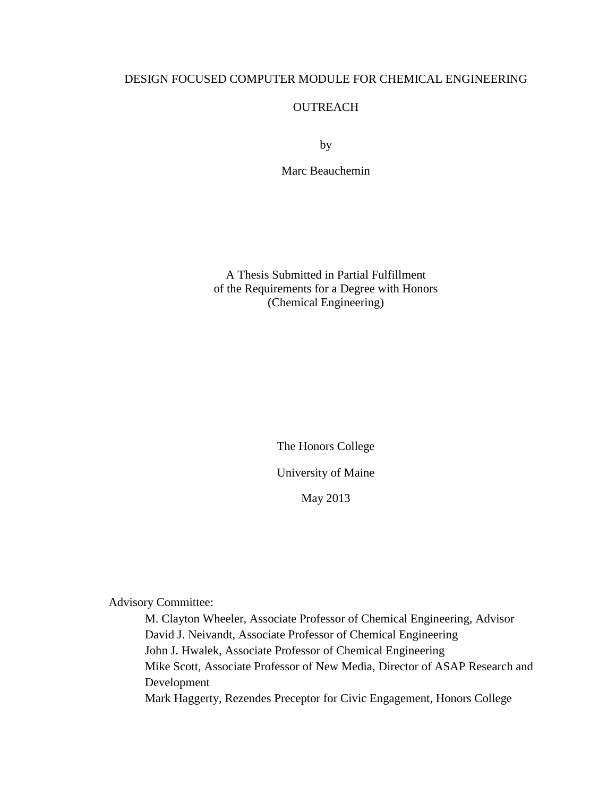# DESIGN FOCUSED COMPUTER MODULE FOR CHEMICAL ENGINEERING

# **OUTREACH**

by

Marc Beauchemin

A Thesis Submitted in Partial Fulfillment of the Requirements for a Degree with Honors (Chemical Engineering)

> The Honors College University of Maine

> > May 2013

Advisory Committee:

M. Clayton Wheeler, Associate Professor of Chemical Engineering, Advisor David J. Neivandt, Associate Professor of Chemical Engineering John J. Hwalek, Associate Professor of Chemical Engineering Mike Scott, Associate Professor of New Media, Director of ASAP Research and Development Mark Haggerty, Rezendes Preceptor for Civic Engagement, Honors College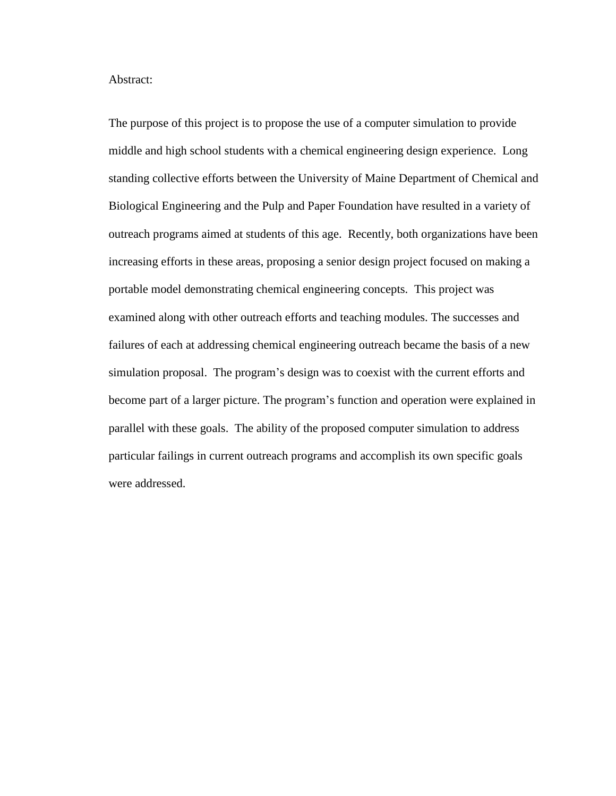Abstract:

The purpose of this project is to propose the use of a computer simulation to provide middle and high school students with a chemical engineering design experience. Long standing collective efforts between the University of Maine Department of Chemical and Biological Engineering and the Pulp and Paper Foundation have resulted in a variety of outreach programs aimed at students of this age. Recently, both organizations have been increasing efforts in these areas, proposing a senior design project focused on making a portable model demonstrating chemical engineering concepts. This project was examined along with other outreach efforts and teaching modules. The successes and failures of each at addressing chemical engineering outreach became the basis of a new simulation proposal. The program's design was to coexist with the current efforts and become part of a larger picture. The program's function and operation were explained in parallel with these goals. The ability of the proposed computer simulation to address particular failings in current outreach programs and accomplish its own specific goals were addressed.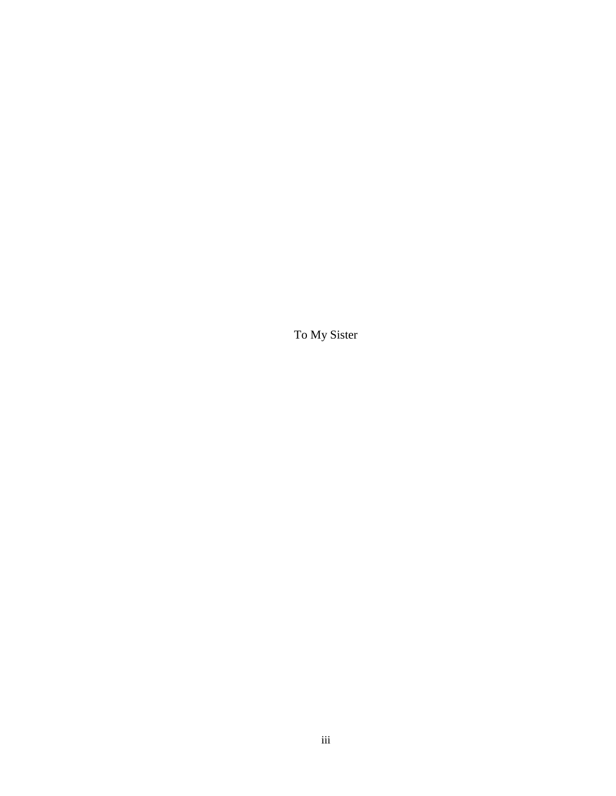To My Sister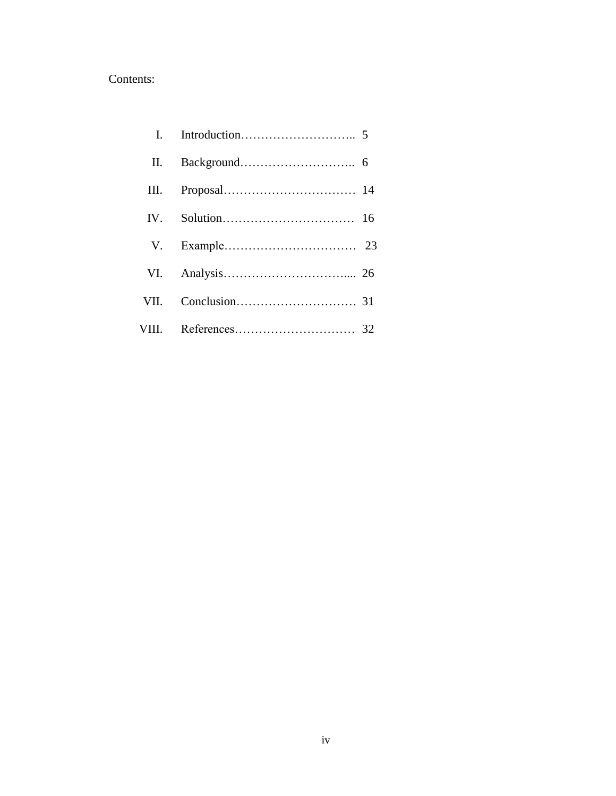# Contents:

| II. |  |
|-----|--|
|     |  |
|     |  |
|     |  |
|     |  |
|     |  |
|     |  |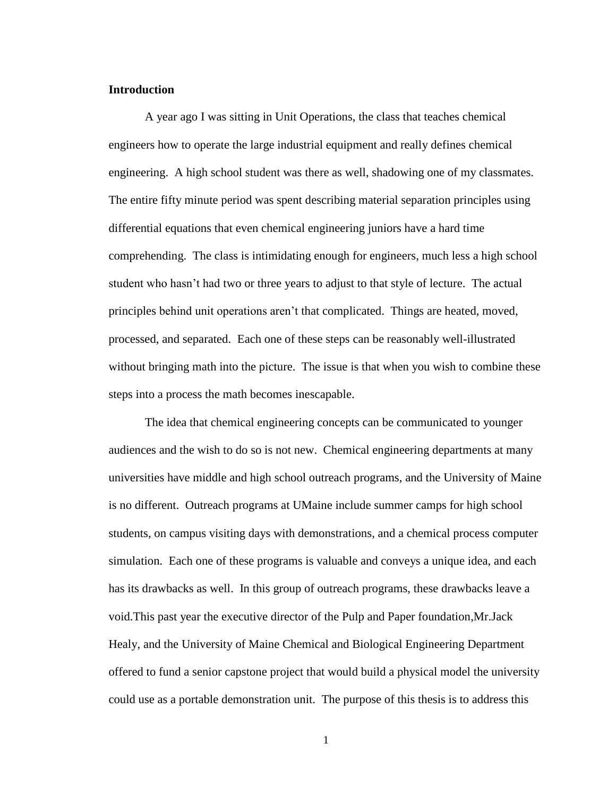## **Introduction**

A year ago I was sitting in Unit Operations, the class that teaches chemical engineers how to operate the large industrial equipment and really defines chemical engineering. A high school student was there as well, shadowing one of my classmates. The entire fifty minute period was spent describing material separation principles using differential equations that even chemical engineering juniors have a hard time comprehending. The class is intimidating enough for engineers, much less a high school student who hasn't had two or three years to adjust to that style of lecture. The actual principles behind unit operations aren't that complicated. Things are heated, moved, processed, and separated. Each one of these steps can be reasonably well-illustrated without bringing math into the picture. The issue is that when you wish to combine these steps into a process the math becomes inescapable.

The idea that chemical engineering concepts can be communicated to younger audiences and the wish to do so is not new. Chemical engineering departments at many universities have middle and high school outreach programs, and the University of Maine is no different. Outreach programs at UMaine include summer camps for high school students, on campus visiting days with demonstrations, and a chemical process computer simulation. Each one of these programs is valuable and conveys a unique idea, and each has its drawbacks as well. In this group of outreach programs, these drawbacks leave a void.This past year the executive director of the Pulp and Paper foundation,Mr.Jack Healy, and the University of Maine Chemical and Biological Engineering Department offered to fund a senior capstone project that would build a physical model the university could use as a portable demonstration unit. The purpose of this thesis is to address this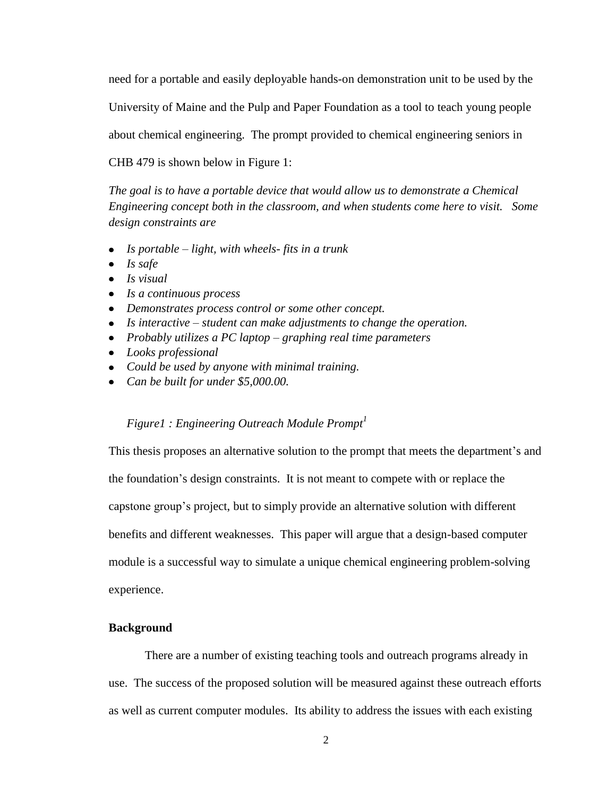need for a portable and easily deployable hands-on demonstration unit to be used by the

University of Maine and the Pulp and Paper Foundation as a tool to teach young people

about chemical engineering. The prompt provided to chemical engineering seniors in

CHB 479 is shown below in Figure 1:

*The goal is to have a portable device that would allow us to demonstrate a Chemical Engineering concept both in the classroom, and when students come here to visit. Some design constraints are* 

- *Is portable – light, with wheels- fits in a trunk*
- *Is safe*
- *Is visual*
- *Is a continuous process*
- *Demonstrates process control or some other concept.*
- *Is interactive – student can make adjustments to change the operation.*
- *Probably utilizes a PC laptop – graphing real time parameters*
- *Looks professional*
- *Could be used by anyone with minimal training.*
- *Can be built for under \$5,000.00.*

#### *Figure1 : Engineering Outreach Module Prompt<sup>1</sup>*

This thesis proposes an alternative solution to the prompt that meets the department's and the foundation's design constraints. It is not meant to compete with or replace the capstone group's project, but to simply provide an alternative solution with different benefits and different weaknesses. This paper will argue that a design-based computer module is a successful way to simulate a unique chemical engineering problem-solving experience.

## **Background**

There are a number of existing teaching tools and outreach programs already in use. The success of the proposed solution will be measured against these outreach efforts as well as current computer modules. Its ability to address the issues with each existing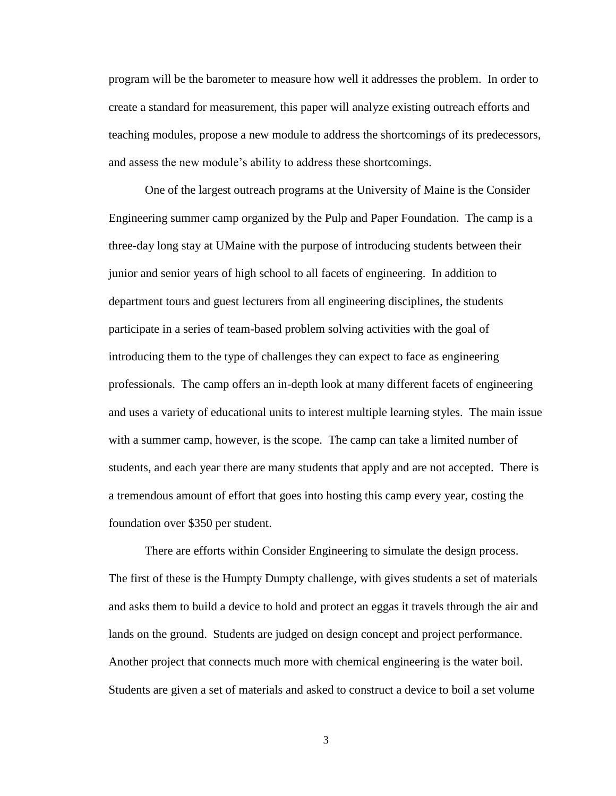program will be the barometer to measure how well it addresses the problem. In order to create a standard for measurement, this paper will analyze existing outreach efforts and teaching modules, propose a new module to address the shortcomings of its predecessors, and assess the new module's ability to address these shortcomings.

One of the largest outreach programs at the University of Maine is the Consider Engineering summer camp organized by the Pulp and Paper Foundation. The camp is a three-day long stay at UMaine with the purpose of introducing students between their junior and senior years of high school to all facets of engineering. In addition to department tours and guest lecturers from all engineering disciplines, the students participate in a series of team-based problem solving activities with the goal of introducing them to the type of challenges they can expect to face as engineering professionals. The camp offers an in-depth look at many different facets of engineering and uses a variety of educational units to interest multiple learning styles. The main issue with a summer camp, however, is the scope. The camp can take a limited number of students, and each year there are many students that apply and are not accepted. There is a tremendous amount of effort that goes into hosting this camp every year, costing the foundation over \$350 per student.

There are efforts within Consider Engineering to simulate the design process. The first of these is the Humpty Dumpty challenge, with gives students a set of materials and asks them to build a device to hold and protect an eggas it travels through the air and lands on the ground. Students are judged on design concept and project performance. Another project that connects much more with chemical engineering is the water boil. Students are given a set of materials and asked to construct a device to boil a set volume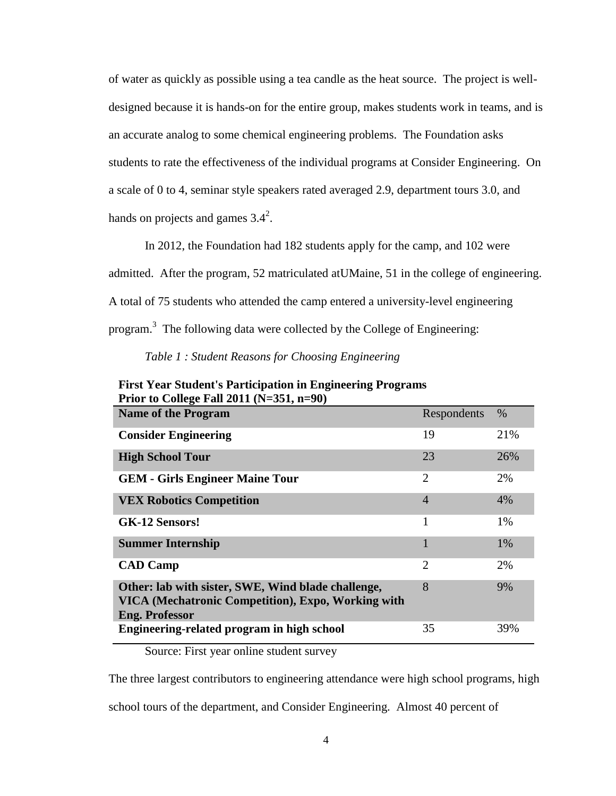of water as quickly as possible using a tea candle as the heat source. The project is welldesigned because it is hands-on for the entire group, makes students work in teams, and is an accurate analog to some chemical engineering problems. The Foundation asks students to rate the effectiveness of the individual programs at Consider Engineering. On a scale of 0 to 4, seminar style speakers rated averaged 2.9, department tours 3.0, and hands on projects and games  $3.4^2$ .

In 2012, the Foundation had 182 students apply for the camp, and 102 were admitted. After the program, 52 matriculated atUMaine, 51 in the college of engineering. A total of 75 students who attended the camp entered a university-level engineering program.<sup>3</sup> The following data were collected by the College of Engineering:

#### *Table 1 : Student Reasons for Choosing Engineering*

| $1101$ to conce I an 2011 (11-001, $11-70$ )                                                                                      |                |     |
|-----------------------------------------------------------------------------------------------------------------------------------|----------------|-----|
| <b>Name of the Program</b>                                                                                                        | Respondents    | %   |
| <b>Consider Engineering</b>                                                                                                       | 19             | 21% |
| <b>High School Tour</b>                                                                                                           | 23             | 26% |
| <b>GEM - Girls Engineer Maine Tour</b>                                                                                            | $\overline{2}$ | 2%  |
| <b>VEX Robotics Competition</b>                                                                                                   | 4              | 4%  |
| <b>GK-12 Sensors!</b>                                                                                                             | 1              | 1%  |
| <b>Summer Internship</b>                                                                                                          |                | 1%  |
| <b>CAD Camp</b>                                                                                                                   | $\overline{2}$ | 2%  |
| Other: lab with sister, SWE, Wind blade challenge,<br>VICA (Mechatronic Competition), Expo, Working with<br><b>Eng. Professor</b> | 8              | 9%  |
| Engineering-related program in high school                                                                                        | 35             | 39% |

**First Year Student's Participation in Engineering Programs Prior to College Fall 2011 (N=351, n=90)**

Source: First year online student survey

The three largest contributors to engineering attendance were high school programs, high

school tours of the department, and Consider Engineering. Almost 40 percent of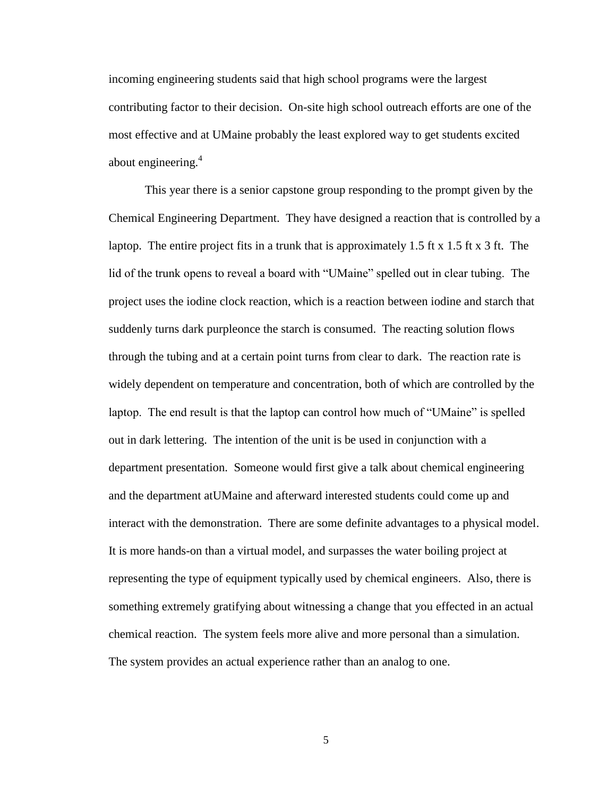incoming engineering students said that high school programs were the largest contributing factor to their decision. On-site high school outreach efforts are one of the most effective and at UMaine probably the least explored way to get students excited about engineering.<sup>4</sup>

This year there is a senior capstone group responding to the prompt given by the Chemical Engineering Department. They have designed a reaction that is controlled by a laptop. The entire project fits in a trunk that is approximately 1.5 ft x 1.5 ft x 3 ft. The lid of the trunk opens to reveal a board with "UMaine" spelled out in clear tubing. The project uses the iodine clock reaction, which is a reaction between iodine and starch that suddenly turns dark purpleonce the starch is consumed. The reacting solution flows through the tubing and at a certain point turns from clear to dark. The reaction rate is widely dependent on temperature and concentration, both of which are controlled by the laptop. The end result is that the laptop can control how much of "UMaine" is spelled out in dark lettering. The intention of the unit is be used in conjunction with a department presentation. Someone would first give a talk about chemical engineering and the department atUMaine and afterward interested students could come up and interact with the demonstration. There are some definite advantages to a physical model. It is more hands-on than a virtual model, and surpasses the water boiling project at representing the type of equipment typically used by chemical engineers. Also, there is something extremely gratifying about witnessing a change that you effected in an actual chemical reaction. The system feels more alive and more personal than a simulation. The system provides an actual experience rather than an analog to one.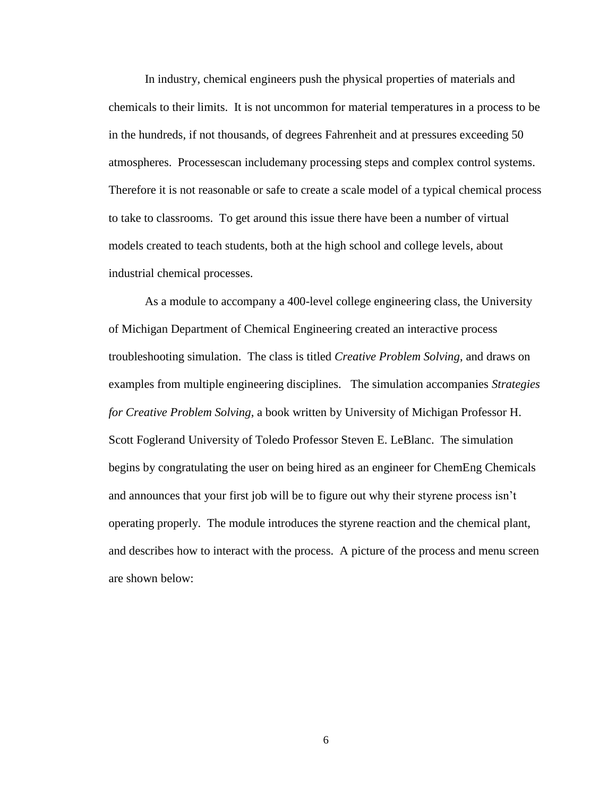In industry, chemical engineers push the physical properties of materials and chemicals to their limits. It is not uncommon for material temperatures in a process to be in the hundreds, if not thousands, of degrees Fahrenheit and at pressures exceeding 50 atmospheres. Processescan includemany processing steps and complex control systems. Therefore it is not reasonable or safe to create a scale model of a typical chemical process to take to classrooms. To get around this issue there have been a number of virtual models created to teach students, both at the high school and college levels, about industrial chemical processes.

As a module to accompany a 400-level college engineering class, the University of Michigan Department of Chemical Engineering created an interactive process troubleshooting simulation. The class is titled *Creative Problem Solving*, and draws on examples from multiple engineering disciplines. The simulation accompanies *Strategies for Creative Problem Solving*, a book written by University of Michigan Professor H. Scott Foglerand University of Toledo Professor Steven E. LeBlanc. The simulation begins by congratulating the user on being hired as an engineer for ChemEng Chemicals and announces that your first job will be to figure out why their styrene process isn't operating properly. The module introduces the styrene reaction and the chemical plant, and describes how to interact with the process. A picture of the process and menu screen are shown below: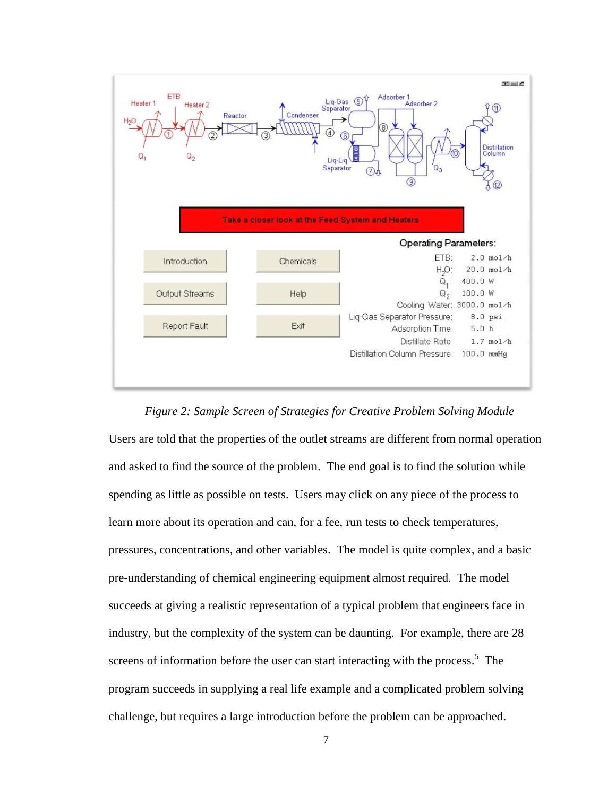

*Figure 2: Sample Screen of Strategies for Creative Problem Solving Module*

Users are told that the properties of the outlet streams are different from normal operation and asked to find the source of the problem. The end goal is to find the solution while spending as little as possible on tests. Users may click on any piece of the process to learn more about its operation and can, for a fee, run tests to check temperatures, pressures, concentrations, and other variables. The model is quite complex, and a basic pre-understanding of chemical engineering equipment almost required. The model succeeds at giving a realistic representation of a typical problem that engineers face in industry, but the complexity of the system can be daunting. For example, there are 28 screens of information before the user can start interacting with the process.<sup>5</sup> The program succeeds in supplying a real life example and a complicated problem solving challenge, but requires a large introduction before the problem can be approached.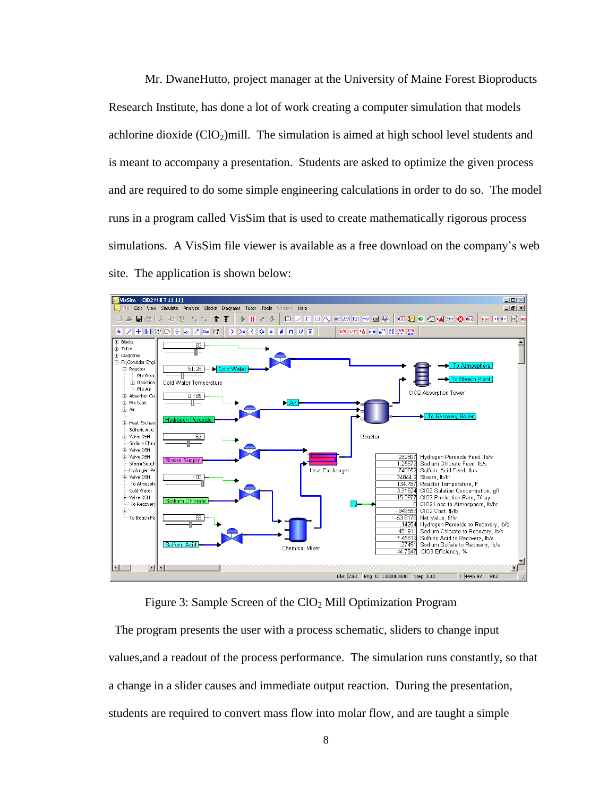Mr. DwaneHutto, project manager at the University of Maine Forest Bioproducts Research Institute, has done a lot of work creating a computer simulation that models achlorine dioxide  $(CIO_2)$ mill. The simulation is aimed at high school level students and is meant to accompany a presentation. Students are asked to optimize the given process and are required to do some simple engineering calculations in order to do so. The model runs in a program called VisSim that is used to create mathematically rigorous process simulations. A VisSim file viewer is available as a free download on the company's web site. The application is shown below:



Figure 3: Sample Screen of the ClO<sub>2</sub> Mill Optimization Program

 The program presents the user with a process schematic, sliders to change input values,and a readout of the process performance. The simulation runs constantly, so that a change in a slider causes and immediate output reaction. During the presentation, students are required to convert mass flow into molar flow, and are taught a simple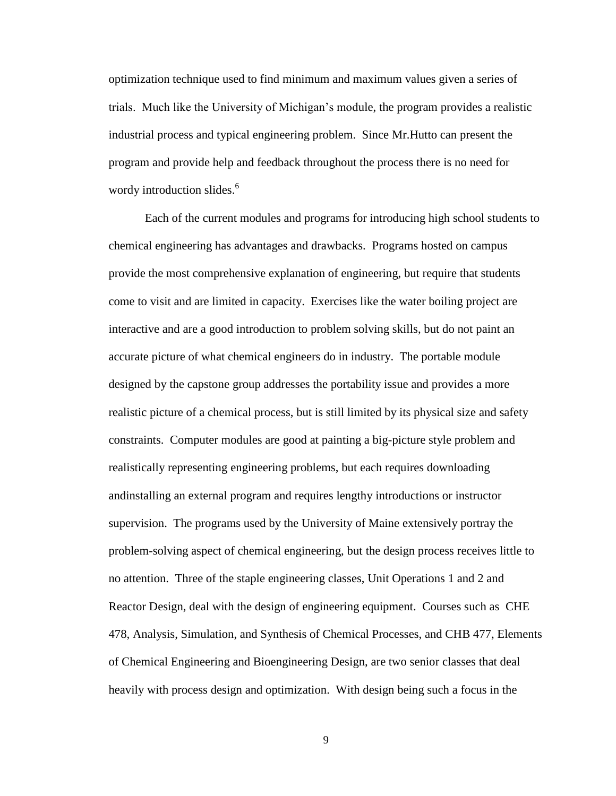optimization technique used to find minimum and maximum values given a series of trials. Much like the University of Michigan's module, the program provides a realistic industrial process and typical engineering problem. Since Mr.Hutto can present the program and provide help and feedback throughout the process there is no need for wordy introduction slides.<sup>6</sup>

Each of the current modules and programs for introducing high school students to chemical engineering has advantages and drawbacks. Programs hosted on campus provide the most comprehensive explanation of engineering, but require that students come to visit and are limited in capacity. Exercises like the water boiling project are interactive and are a good introduction to problem solving skills, but do not paint an accurate picture of what chemical engineers do in industry. The portable module designed by the capstone group addresses the portability issue and provides a more realistic picture of a chemical process, but is still limited by its physical size and safety constraints. Computer modules are good at painting a big-picture style problem and realistically representing engineering problems, but each requires downloading andinstalling an external program and requires lengthy introductions or instructor supervision. The programs used by the University of Maine extensively portray the problem-solving aspect of chemical engineering, but the design process receives little to no attention. Three of the staple engineering classes, Unit Operations 1 and 2 and Reactor Design, deal with the design of engineering equipment. Courses such as CHE 478, Analysis, Simulation, and Synthesis of Chemical Processes, and CHB 477, Elements of Chemical Engineering and Bioengineering Design, are two senior classes that deal heavily with process design and optimization. With design being such a focus in the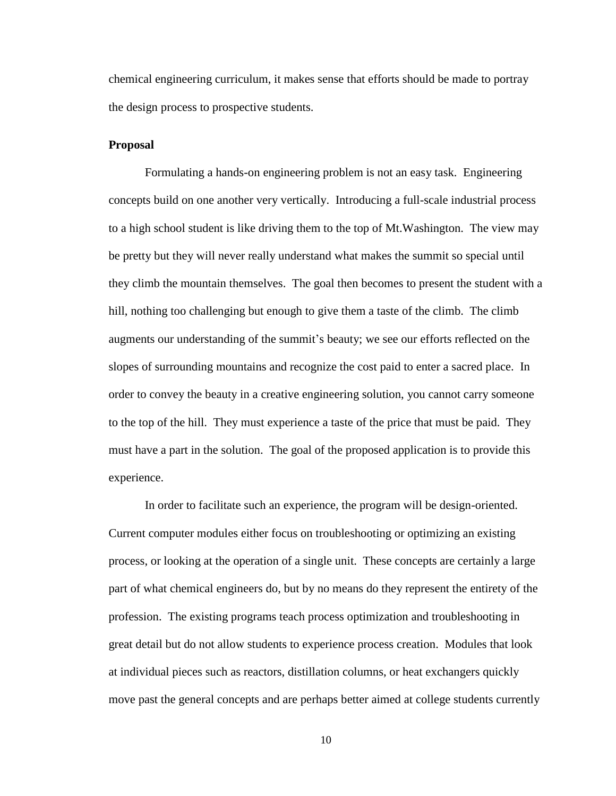chemical engineering curriculum, it makes sense that efforts should be made to portray the design process to prospective students.

#### **Proposal**

Formulating a hands-on engineering problem is not an easy task. Engineering concepts build on one another very vertically. Introducing a full-scale industrial process to a high school student is like driving them to the top of Mt.Washington. The view may be pretty but they will never really understand what makes the summit so special until they climb the mountain themselves. The goal then becomes to present the student with a hill, nothing too challenging but enough to give them a taste of the climb. The climb augments our understanding of the summit's beauty; we see our efforts reflected on the slopes of surrounding mountains and recognize the cost paid to enter a sacred place. In order to convey the beauty in a creative engineering solution, you cannot carry someone to the top of the hill. They must experience a taste of the price that must be paid. They must have a part in the solution. The goal of the proposed application is to provide this experience.

In order to facilitate such an experience, the program will be design-oriented. Current computer modules either focus on troubleshooting or optimizing an existing process, or looking at the operation of a single unit. These concepts are certainly a large part of what chemical engineers do, but by no means do they represent the entirety of the profession. The existing programs teach process optimization and troubleshooting in great detail but do not allow students to experience process creation. Modules that look at individual pieces such as reactors, distillation columns, or heat exchangers quickly move past the general concepts and are perhaps better aimed at college students currently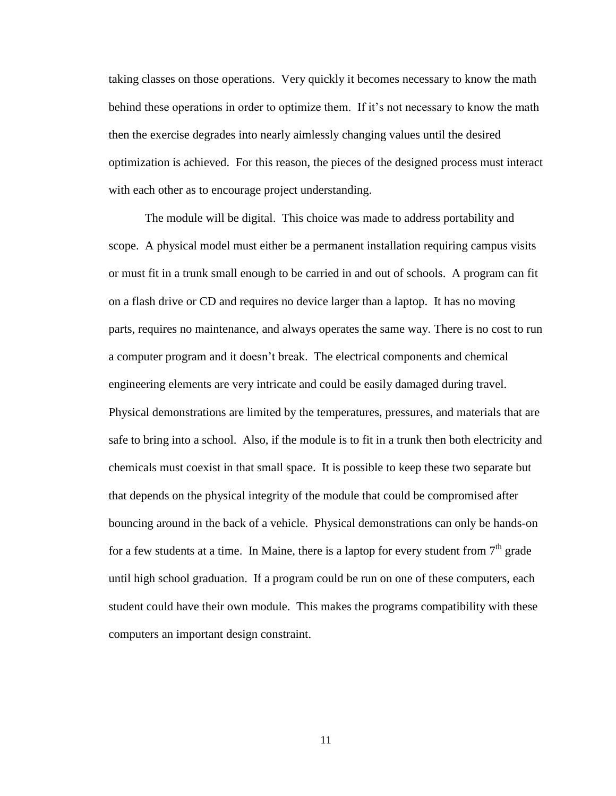taking classes on those operations. Very quickly it becomes necessary to know the math behind these operations in order to optimize them. If it's not necessary to know the math then the exercise degrades into nearly aimlessly changing values until the desired optimization is achieved. For this reason, the pieces of the designed process must interact with each other as to encourage project understanding.

The module will be digital. This choice was made to address portability and scope. A physical model must either be a permanent installation requiring campus visits or must fit in a trunk small enough to be carried in and out of schools. A program can fit on a flash drive or CD and requires no device larger than a laptop. It has no moving parts, requires no maintenance, and always operates the same way. There is no cost to run a computer program and it doesn't break. The electrical components and chemical engineering elements are very intricate and could be easily damaged during travel. Physical demonstrations are limited by the temperatures, pressures, and materials that are safe to bring into a school. Also, if the module is to fit in a trunk then both electricity and chemicals must coexist in that small space. It is possible to keep these two separate but that depends on the physical integrity of the module that could be compromised after bouncing around in the back of a vehicle. Physical demonstrations can only be hands-on for a few students at a time. In Maine, there is a laptop for every student from  $7<sup>th</sup>$  grade until high school graduation. If a program could be run on one of these computers, each student could have their own module. This makes the programs compatibility with these computers an important design constraint.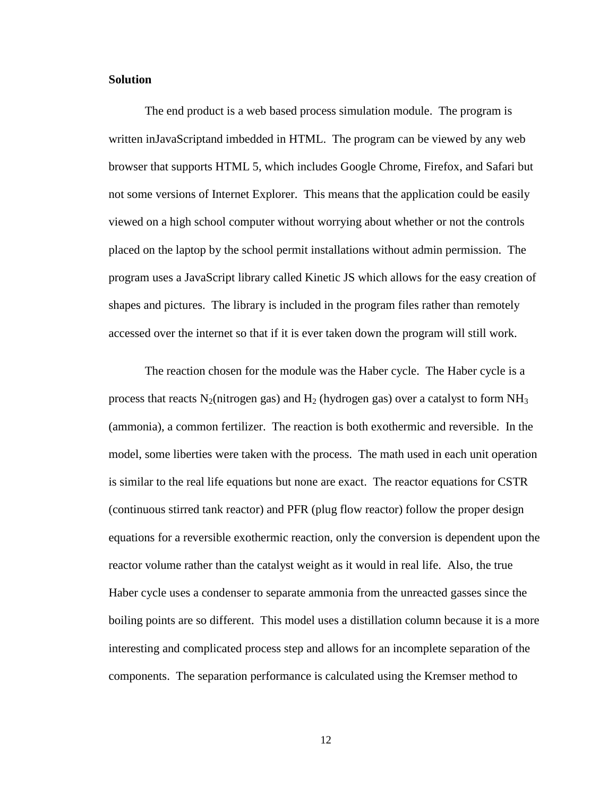#### **Solution**

The end product is a web based process simulation module. The program is written inJavaScriptand imbedded in HTML. The program can be viewed by any web browser that supports HTML 5, which includes Google Chrome, Firefox, and Safari but not some versions of Internet Explorer. This means that the application could be easily viewed on a high school computer without worrying about whether or not the controls placed on the laptop by the school permit installations without admin permission. The program uses a JavaScript library called Kinetic JS which allows for the easy creation of shapes and pictures. The library is included in the program files rather than remotely accessed over the internet so that if it is ever taken down the program will still work.

The reaction chosen for the module was the Haber cycle. The Haber cycle is a process that reacts  $N_2$ (nitrogen gas) and  $H_2$  (hydrogen gas) over a catalyst to form  $NH_3$ (ammonia), a common fertilizer. The reaction is both exothermic and reversible. In the model, some liberties were taken with the process. The math used in each unit operation is similar to the real life equations but none are exact. The reactor equations for CSTR (continuous stirred tank reactor) and PFR (plug flow reactor) follow the proper design equations for a reversible exothermic reaction, only the conversion is dependent upon the reactor volume rather than the catalyst weight as it would in real life. Also, the true Haber cycle uses a condenser to separate ammonia from the unreacted gasses since the boiling points are so different. This model uses a distillation column because it is a more interesting and complicated process step and allows for an incomplete separation of the components. The separation performance is calculated using the Kremser method to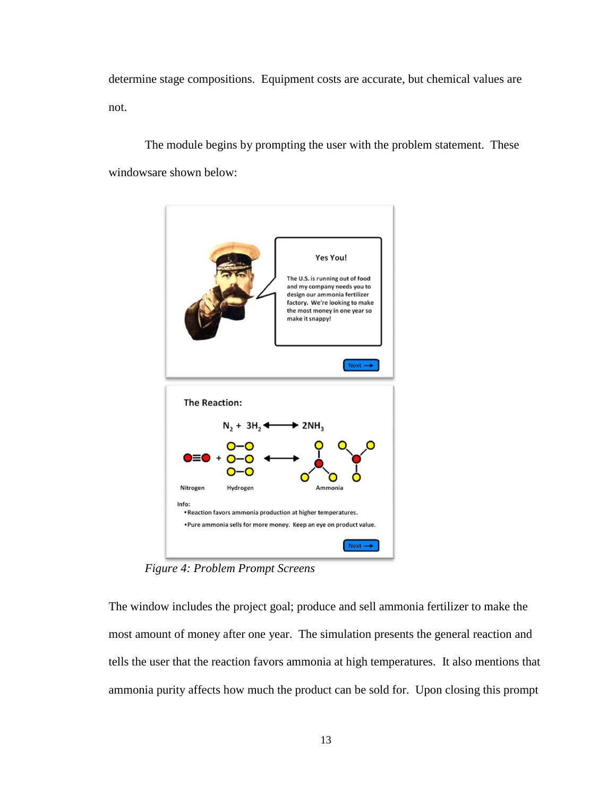determine stage compositions. Equipment costs are accurate, but chemical values are not.

The module begins by prompting the user with the problem statement. These windowsare shown below:



*Figure 4: Problem Prompt Screens*

The window includes the project goal; produce and sell ammonia fertilizer to make the most amount of money after one year. The simulation presents the general reaction and tells the user that the reaction favors ammonia at high temperatures. It also mentions that ammonia purity affects how much the product can be sold for. Upon closing this prompt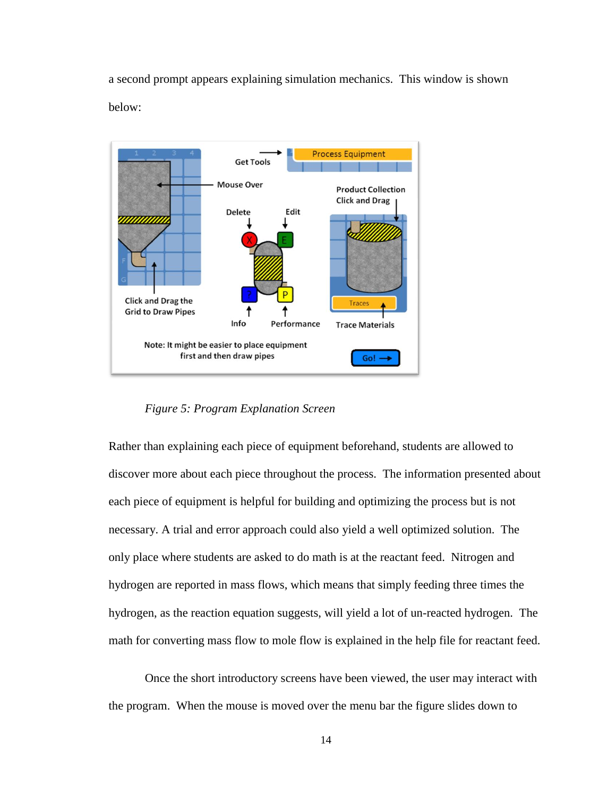a second prompt appears explaining simulation mechanics. This window is shown below:



*Figure 5: Program Explanation Screen*

Rather than explaining each piece of equipment beforehand, students are allowed to discover more about each piece throughout the process. The information presented about each piece of equipment is helpful for building and optimizing the process but is not necessary. A trial and error approach could also yield a well optimized solution. The only place where students are asked to do math is at the reactant feed. Nitrogen and hydrogen are reported in mass flows, which means that simply feeding three times the hydrogen, as the reaction equation suggests, will yield a lot of un-reacted hydrogen. The math for converting mass flow to mole flow is explained in the help file for reactant feed.

Once the short introductory screens have been viewed, the user may interact with the program. When the mouse is moved over the menu bar the figure slides down to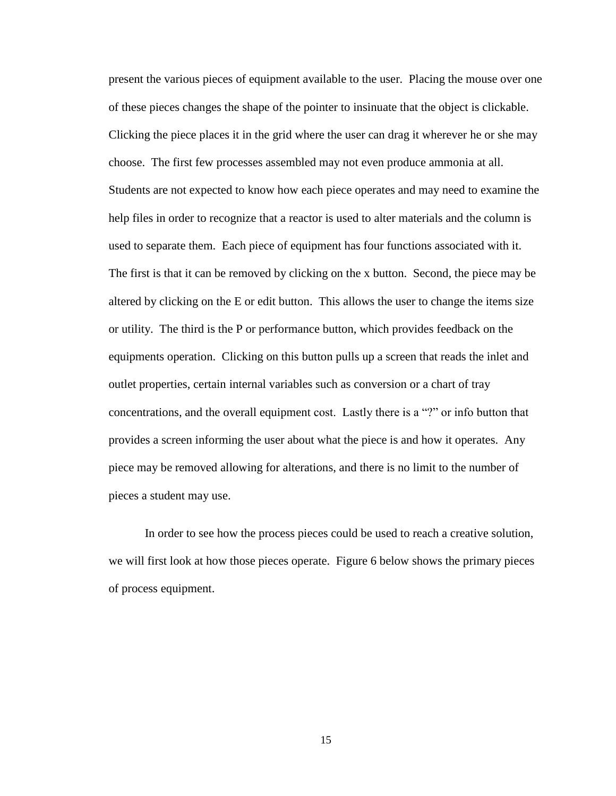present the various pieces of equipment available to the user. Placing the mouse over one of these pieces changes the shape of the pointer to insinuate that the object is clickable. Clicking the piece places it in the grid where the user can drag it wherever he or she may choose. The first few processes assembled may not even produce ammonia at all. Students are not expected to know how each piece operates and may need to examine the help files in order to recognize that a reactor is used to alter materials and the column is used to separate them. Each piece of equipment has four functions associated with it. The first is that it can be removed by clicking on the x button. Second, the piece may be altered by clicking on the E or edit button. This allows the user to change the items size or utility. The third is the P or performance button, which provides feedback on the equipments operation. Clicking on this button pulls up a screen that reads the inlet and outlet properties, certain internal variables such as conversion or a chart of tray concentrations, and the overall equipment cost. Lastly there is a "?" or info button that provides a screen informing the user about what the piece is and how it operates. Any piece may be removed allowing for alterations, and there is no limit to the number of pieces a student may use.

In order to see how the process pieces could be used to reach a creative solution, we will first look at how those pieces operate. Figure 6 below shows the primary pieces of process equipment.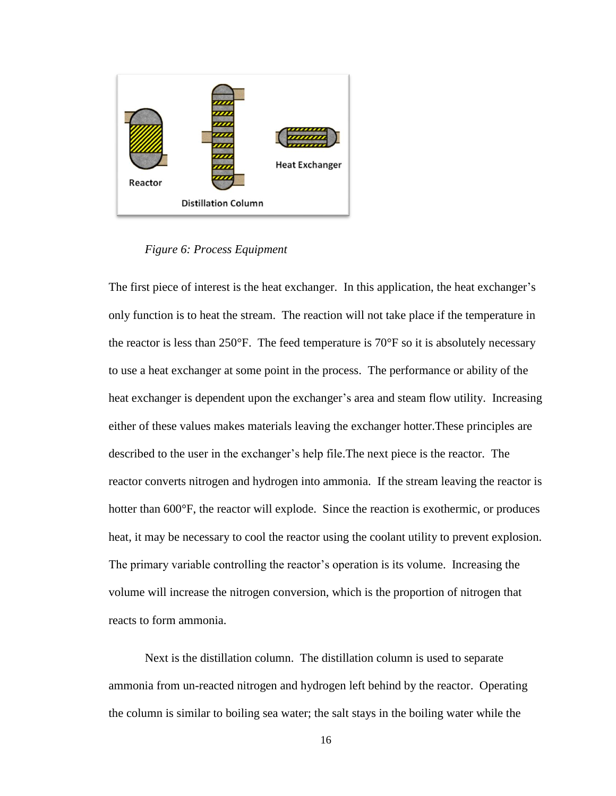

*Figure 6: Process Equipment*

The first piece of interest is the heat exchanger. In this application, the heat exchanger's only function is to heat the stream. The reaction will not take place if the temperature in the reactor is less than  $250^{\circ}$ F. The feed temperature is  $70^{\circ}$ F so it is absolutely necessary to use a heat exchanger at some point in the process. The performance or ability of the heat exchanger is dependent upon the exchanger's area and steam flow utility. Increasing either of these values makes materials leaving the exchanger hotter.These principles are described to the user in the exchanger's help file.The next piece is the reactor. The reactor converts nitrogen and hydrogen into ammonia. If the stream leaving the reactor is hotter than 600 $\degree$ F, the reactor will explode. Since the reaction is exothermic, or produces heat, it may be necessary to cool the reactor using the coolant utility to prevent explosion. The primary variable controlling the reactor's operation is its volume. Increasing the volume will increase the nitrogen conversion, which is the proportion of nitrogen that reacts to form ammonia.

Next is the distillation column. The distillation column is used to separate ammonia from un-reacted nitrogen and hydrogen left behind by the reactor. Operating the column is similar to boiling sea water; the salt stays in the boiling water while the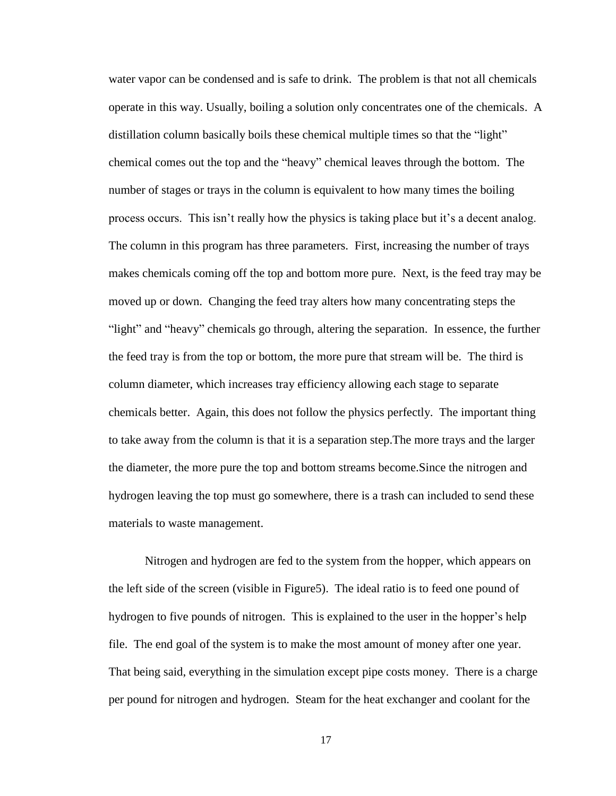water vapor can be condensed and is safe to drink. The problem is that not all chemicals operate in this way. Usually, boiling a solution only concentrates one of the chemicals. A distillation column basically boils these chemical multiple times so that the "light" chemical comes out the top and the "heavy" chemical leaves through the bottom. The number of stages or trays in the column is equivalent to how many times the boiling process occurs. This isn't really how the physics is taking place but it's a decent analog. The column in this program has three parameters. First, increasing the number of trays makes chemicals coming off the top and bottom more pure. Next, is the feed tray may be moved up or down. Changing the feed tray alters how many concentrating steps the "light" and "heavy" chemicals go through, altering the separation. In essence, the further the feed tray is from the top or bottom, the more pure that stream will be. The third is column diameter, which increases tray efficiency allowing each stage to separate chemicals better. Again, this does not follow the physics perfectly. The important thing to take away from the column is that it is a separation step.The more trays and the larger the diameter, the more pure the top and bottom streams become.Since the nitrogen and hydrogen leaving the top must go somewhere, there is a trash can included to send these materials to waste management.

Nitrogen and hydrogen are fed to the system from the hopper, which appears on the left side of the screen (visible in Figure5). The ideal ratio is to feed one pound of hydrogen to five pounds of nitrogen. This is explained to the user in the hopper's help file. The end goal of the system is to make the most amount of money after one year. That being said, everything in the simulation except pipe costs money. There is a charge per pound for nitrogen and hydrogen. Steam for the heat exchanger and coolant for the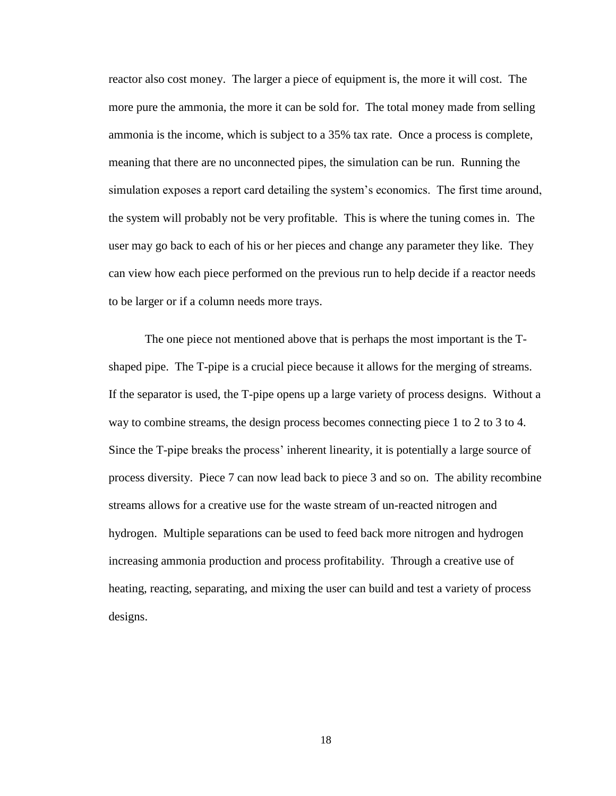reactor also cost money. The larger a piece of equipment is, the more it will cost. The more pure the ammonia, the more it can be sold for. The total money made from selling ammonia is the income, which is subject to a 35% tax rate. Once a process is complete, meaning that there are no unconnected pipes, the simulation can be run. Running the simulation exposes a report card detailing the system's economics. The first time around, the system will probably not be very profitable. This is where the tuning comes in. The user may go back to each of his or her pieces and change any parameter they like. They can view how each piece performed on the previous run to help decide if a reactor needs to be larger or if a column needs more trays.

The one piece not mentioned above that is perhaps the most important is the Tshaped pipe. The T-pipe is a crucial piece because it allows for the merging of streams. If the separator is used, the T-pipe opens up a large variety of process designs. Without a way to combine streams, the design process becomes connecting piece 1 to 2 to 3 to 4. Since the T-pipe breaks the process' inherent linearity, it is potentially a large source of process diversity. Piece 7 can now lead back to piece 3 and so on. The ability recombine streams allows for a creative use for the waste stream of un-reacted nitrogen and hydrogen. Multiple separations can be used to feed back more nitrogen and hydrogen increasing ammonia production and process profitability. Through a creative use of heating, reacting, separating, and mixing the user can build and test a variety of process designs.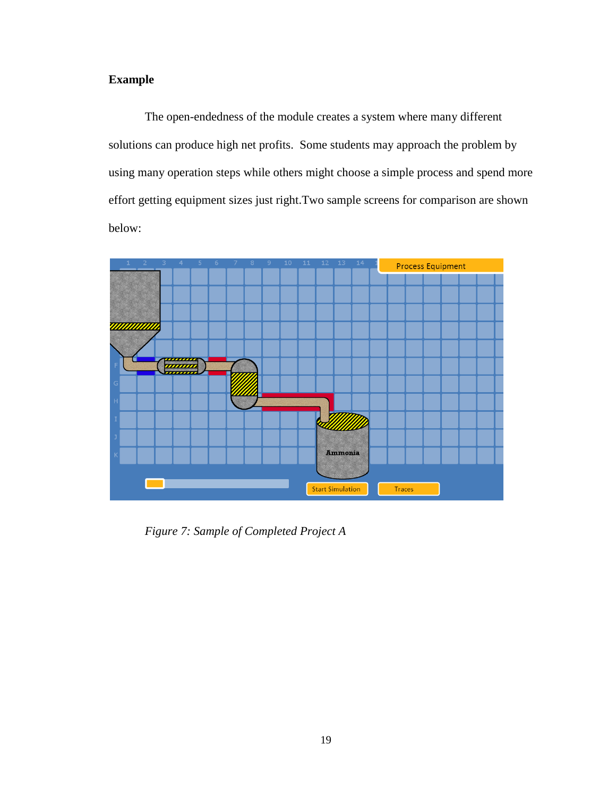# **Example**

The open-endedness of the module creates a system where many different solutions can produce high net profits. Some students may approach the problem by using many operation steps while others might choose a simple process and spend more effort getting equipment sizes just right.Two sample screens for comparison are shown below:



*Figure 7: Sample of Completed Project A*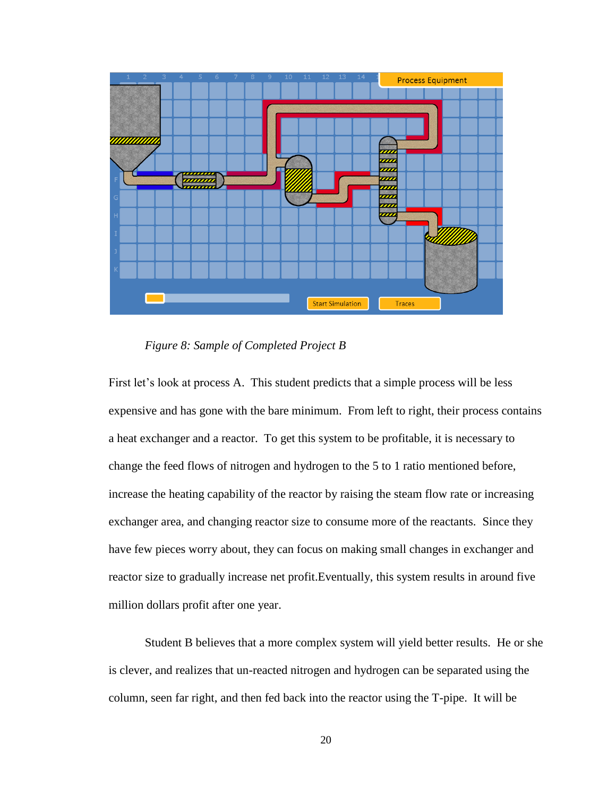![](_page_24_Figure_0.jpeg)

*Figure 8: Sample of Completed Project B*

First let's look at process A. This student predicts that a simple process will be less expensive and has gone with the bare minimum. From left to right, their process contains a heat exchanger and a reactor. To get this system to be profitable, it is necessary to change the feed flows of nitrogen and hydrogen to the 5 to 1 ratio mentioned before, increase the heating capability of the reactor by raising the steam flow rate or increasing exchanger area, and changing reactor size to consume more of the reactants. Since they have few pieces worry about, they can focus on making small changes in exchanger and reactor size to gradually increase net profit.Eventually, this system results in around five million dollars profit after one year.

Student B believes that a more complex system will yield better results. He or she is clever, and realizes that un-reacted nitrogen and hydrogen can be separated using the column, seen far right, and then fed back into the reactor using the T-pipe. It will be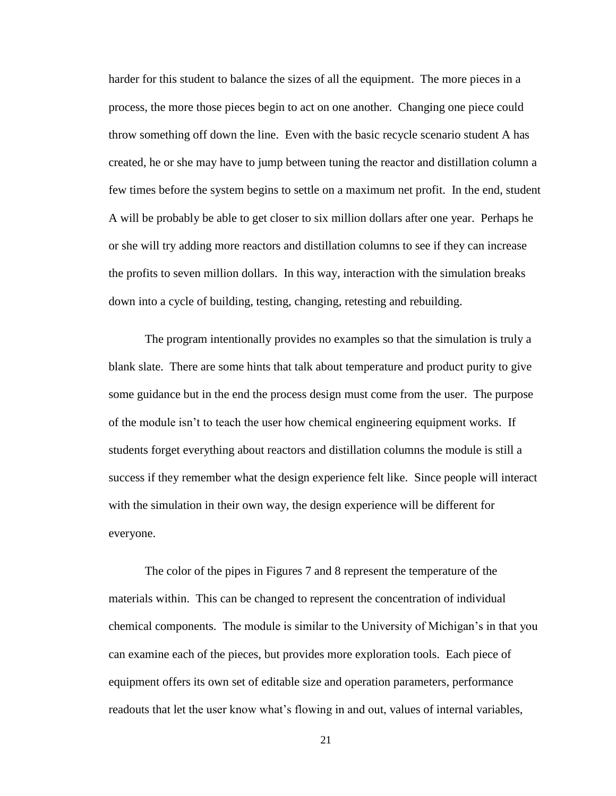harder for this student to balance the sizes of all the equipment. The more pieces in a process, the more those pieces begin to act on one another. Changing one piece could throw something off down the line. Even with the basic recycle scenario student A has created, he or she may have to jump between tuning the reactor and distillation column a few times before the system begins to settle on a maximum net profit. In the end, student A will be probably be able to get closer to six million dollars after one year. Perhaps he or she will try adding more reactors and distillation columns to see if they can increase the profits to seven million dollars. In this way, interaction with the simulation breaks down into a cycle of building, testing, changing, retesting and rebuilding.

The program intentionally provides no examples so that the simulation is truly a blank slate. There are some hints that talk about temperature and product purity to give some guidance but in the end the process design must come from the user. The purpose of the module isn't to teach the user how chemical engineering equipment works. If students forget everything about reactors and distillation columns the module is still a success if they remember what the design experience felt like. Since people will interact with the simulation in their own way, the design experience will be different for everyone.

The color of the pipes in Figures 7 and 8 represent the temperature of the materials within. This can be changed to represent the concentration of individual chemical components. The module is similar to the University of Michigan's in that you can examine each of the pieces, but provides more exploration tools. Each piece of equipment offers its own set of editable size and operation parameters, performance readouts that let the user know what's flowing in and out, values of internal variables,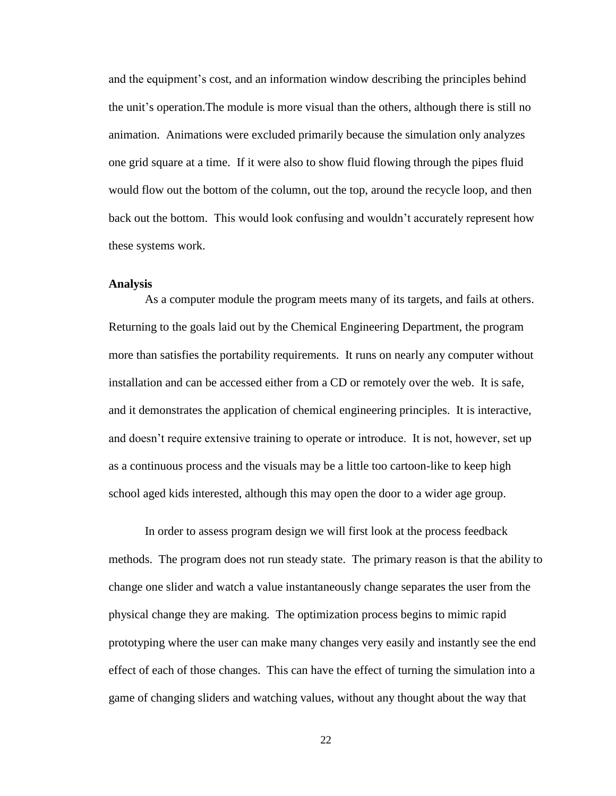and the equipment's cost, and an information window describing the principles behind the unit's operation.The module is more visual than the others, although there is still no animation. Animations were excluded primarily because the simulation only analyzes one grid square at a time. If it were also to show fluid flowing through the pipes fluid would flow out the bottom of the column, out the top, around the recycle loop, and then back out the bottom. This would look confusing and wouldn't accurately represent how these systems work.

#### **Analysis**

As a computer module the program meets many of its targets, and fails at others. Returning to the goals laid out by the Chemical Engineering Department, the program more than satisfies the portability requirements. It runs on nearly any computer without installation and can be accessed either from a CD or remotely over the web. It is safe, and it demonstrates the application of chemical engineering principles. It is interactive, and doesn't require extensive training to operate or introduce. It is not, however, set up as a continuous process and the visuals may be a little too cartoon-like to keep high school aged kids interested, although this may open the door to a wider age group.

In order to assess program design we will first look at the process feedback methods. The program does not run steady state. The primary reason is that the ability to change one slider and watch a value instantaneously change separates the user from the physical change they are making. The optimization process begins to mimic rapid prototyping where the user can make many changes very easily and instantly see the end effect of each of those changes. This can have the effect of turning the simulation into a game of changing sliders and watching values, without any thought about the way that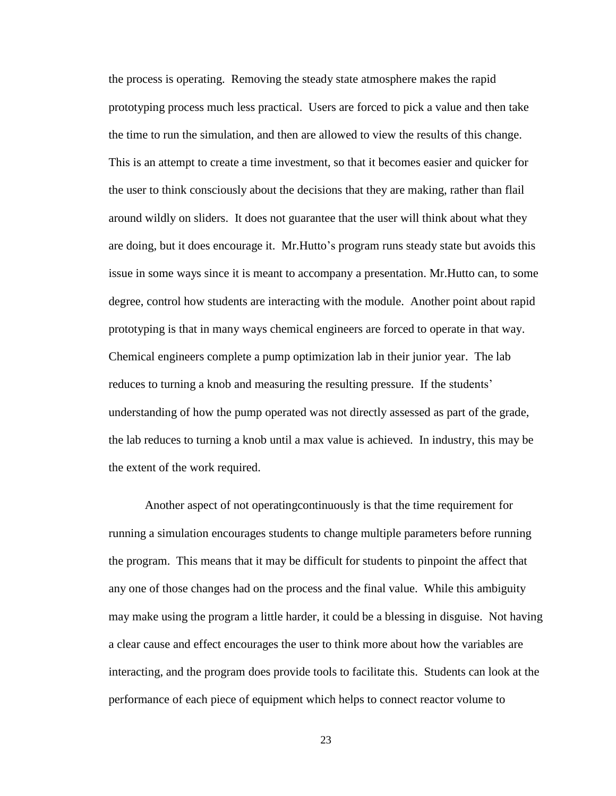the process is operating. Removing the steady state atmosphere makes the rapid prototyping process much less practical. Users are forced to pick a value and then take the time to run the simulation, and then are allowed to view the results of this change. This is an attempt to create a time investment, so that it becomes easier and quicker for the user to think consciously about the decisions that they are making, rather than flail around wildly on sliders. It does not guarantee that the user will think about what they are doing, but it does encourage it. Mr.Hutto's program runs steady state but avoids this issue in some ways since it is meant to accompany a presentation. Mr.Hutto can, to some degree, control how students are interacting with the module. Another point about rapid prototyping is that in many ways chemical engineers are forced to operate in that way. Chemical engineers complete a pump optimization lab in their junior year. The lab reduces to turning a knob and measuring the resulting pressure. If the students' understanding of how the pump operated was not directly assessed as part of the grade, the lab reduces to turning a knob until a max value is achieved. In industry, this may be the extent of the work required.

Another aspect of not operatingcontinuously is that the time requirement for running a simulation encourages students to change multiple parameters before running the program. This means that it may be difficult for students to pinpoint the affect that any one of those changes had on the process and the final value. While this ambiguity may make using the program a little harder, it could be a blessing in disguise. Not having a clear cause and effect encourages the user to think more about how the variables are interacting, and the program does provide tools to facilitate this. Students can look at the performance of each piece of equipment which helps to connect reactor volume to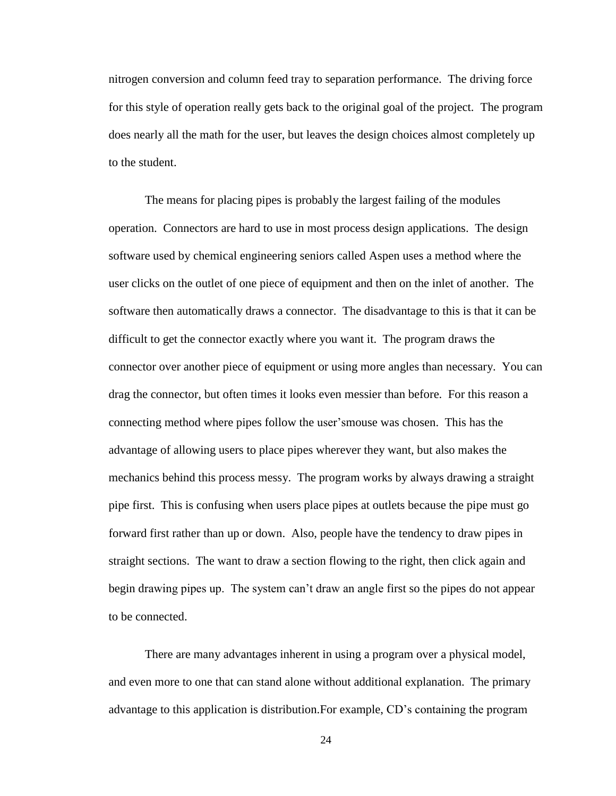nitrogen conversion and column feed tray to separation performance. The driving force for this style of operation really gets back to the original goal of the project. The program does nearly all the math for the user, but leaves the design choices almost completely up to the student.

The means for placing pipes is probably the largest failing of the modules operation. Connectors are hard to use in most process design applications. The design software used by chemical engineering seniors called Aspen uses a method where the user clicks on the outlet of one piece of equipment and then on the inlet of another. The software then automatically draws a connector. The disadvantage to this is that it can be difficult to get the connector exactly where you want it. The program draws the connector over another piece of equipment or using more angles than necessary. You can drag the connector, but often times it looks even messier than before. For this reason a connecting method where pipes follow the user'smouse was chosen. This has the advantage of allowing users to place pipes wherever they want, but also makes the mechanics behind this process messy. The program works by always drawing a straight pipe first. This is confusing when users place pipes at outlets because the pipe must go forward first rather than up or down. Also, people have the tendency to draw pipes in straight sections. The want to draw a section flowing to the right, then click again and begin drawing pipes up. The system can't draw an angle first so the pipes do not appear to be connected.

There are many advantages inherent in using a program over a physical model, and even more to one that can stand alone without additional explanation. The primary advantage to this application is distribution.For example, CD's containing the program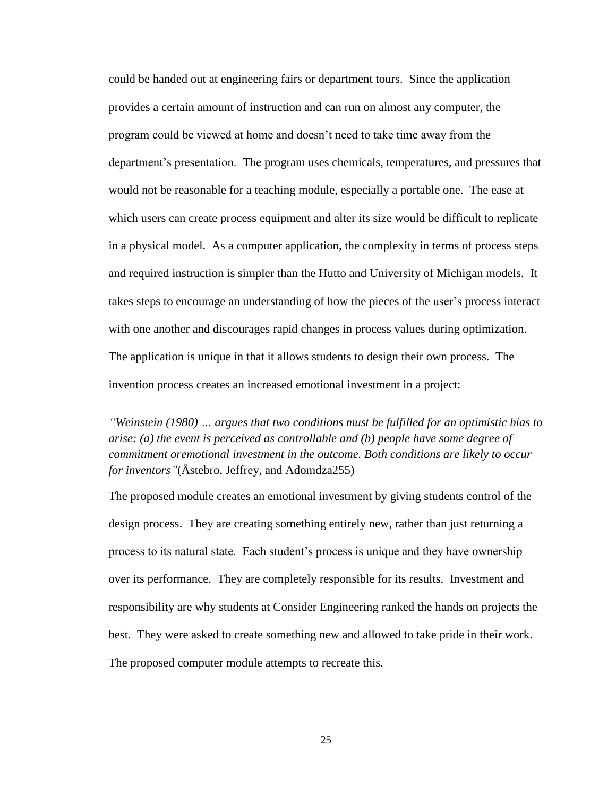could be handed out at engineering fairs or department tours. Since the application provides a certain amount of instruction and can run on almost any computer, the program could be viewed at home and doesn't need to take time away from the department's presentation. The program uses chemicals, temperatures, and pressures that would not be reasonable for a teaching module, especially a portable one. The ease at which users can create process equipment and alter its size would be difficult to replicate in a physical model. As a computer application, the complexity in terms of process steps and required instruction is simpler than the Hutto and University of Michigan models. It takes steps to encourage an understanding of how the pieces of the user's process interact with one another and discourages rapid changes in process values during optimization. The application is unique in that it allows students to design their own process. The invention process creates an increased emotional investment in a project:

*"Weinstein (1980) … argues that two conditions must be fulfilled for an optimistic bias to arise: (a) the event is perceived as controllable and (b) people have some degree of commitment oremotional investment in the outcome. Both conditions are likely to occur for inventors"*(Åstebro, Jeffrey, and Adomdza255)

The proposed module creates an emotional investment by giving students control of the design process. They are creating something entirely new, rather than just returning a process to its natural state. Each student's process is unique and they have ownership over its performance. They are completely responsible for its results. Investment and responsibility are why students at Consider Engineering ranked the hands on projects the best. They were asked to create something new and allowed to take pride in their work. The proposed computer module attempts to recreate this.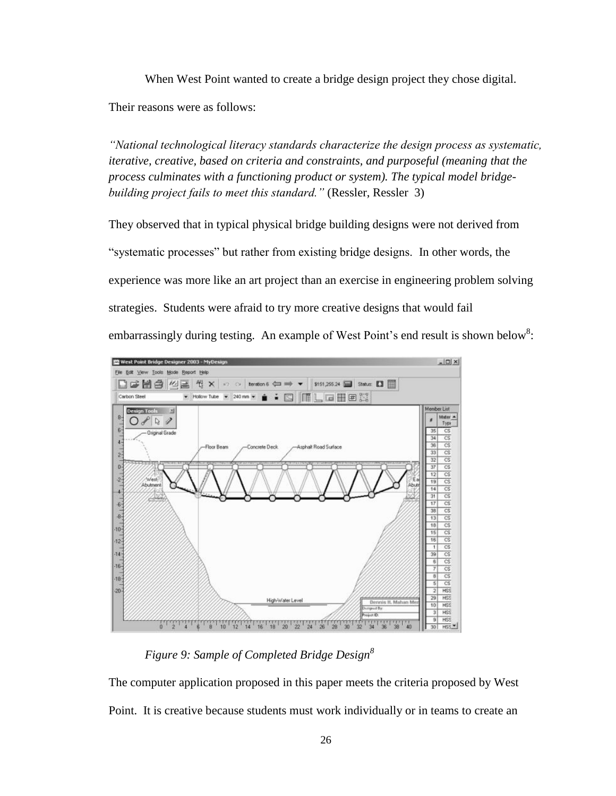When West Point wanted to create a bridge design project they chose digital. Their reasons were as follows:

*"National technological literacy standards characterize the design process as systematic, iterative, creative, based on criteria and constraints, and purposeful (meaning that the process culminates with a functioning product or system). The typical model bridgebuilding project fails to meet this standard."* (Ressler, Ressler 3)

They observed that in typical physical bridge building designs were not derived from "systematic processes" but rather from existing bridge designs. In other words, the experience was more like an art project than an exercise in engineering problem solving strategies. Students were afraid to try more creative designs that would fail embarrassingly during testing. An example of West Point's end result is shown below<sup>8</sup>:

![](_page_30_Figure_3.jpeg)

*Figure 9: Sample of Completed Bridge Design<sup>8</sup>*

The computer application proposed in this paper meets the criteria proposed by West Point. It is creative because students must work individually or in teams to create an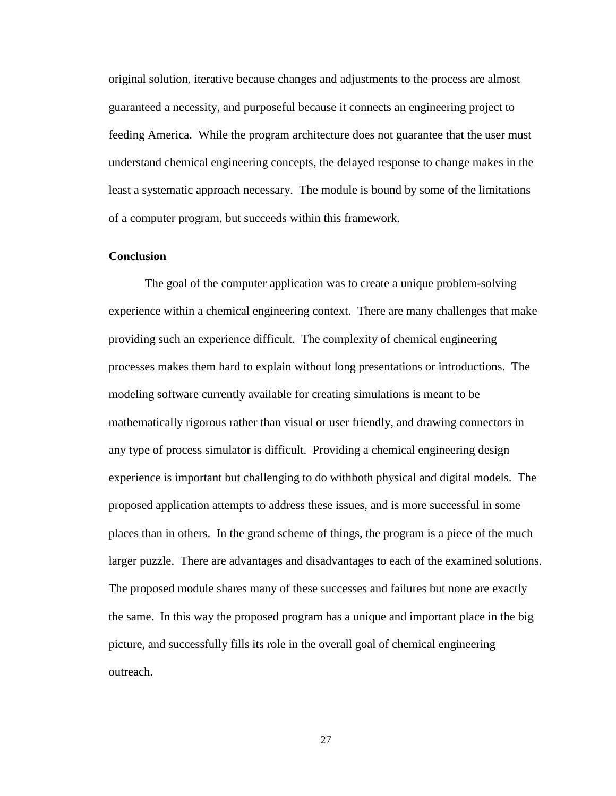original solution, iterative because changes and adjustments to the process are almost guaranteed a necessity, and purposeful because it connects an engineering project to feeding America. While the program architecture does not guarantee that the user must understand chemical engineering concepts, the delayed response to change makes in the least a systematic approach necessary. The module is bound by some of the limitations of a computer program, but succeeds within this framework.

#### **Conclusion**

The goal of the computer application was to create a unique problem-solving experience within a chemical engineering context. There are many challenges that make providing such an experience difficult. The complexity of chemical engineering processes makes them hard to explain without long presentations or introductions. The modeling software currently available for creating simulations is meant to be mathematically rigorous rather than visual or user friendly, and drawing connectors in any type of process simulator is difficult. Providing a chemical engineering design experience is important but challenging to do withboth physical and digital models. The proposed application attempts to address these issues, and is more successful in some places than in others. In the grand scheme of things, the program is a piece of the much larger puzzle. There are advantages and disadvantages to each of the examined solutions. The proposed module shares many of these successes and failures but none are exactly the same. In this way the proposed program has a unique and important place in the big picture, and successfully fills its role in the overall goal of chemical engineering outreach.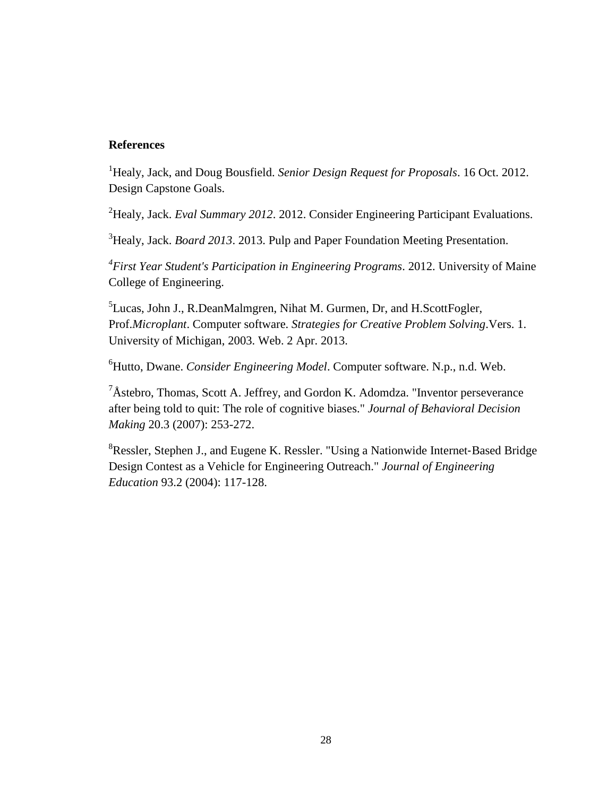## **References**

<sup>1</sup>Healy, Jack, and Doug Bousfield. *Senior Design Request for Proposals*. 16 Oct. 2012. Design Capstone Goals.

<sup>2</sup>Healy, Jack. *Eval Summary 2012.* 2012. Consider Engineering Participant Evaluations.

<sup>3</sup> Healy, Jack. *Board 2013*. 2013. Pulp and Paper Foundation Meeting Presentation.

*4 First Year Student's Participation in Engineering Programs*. 2012. University of Maine College of Engineering.

<sup>5</sup>Lucas, John J., R.DeanMalmgren, Nihat M. Gurmen, Dr, and H.ScottFogler, Prof.*Microplant*. Computer software. *Strategies for Creative Problem Solving*.Vers. 1. University of Michigan, 2003. Web. 2 Apr. 2013.

<sup>6</sup>Hutto, Dwane. *Consider Engineering Model*. Computer software. N.p., n.d. Web.

 ${}^{7}$ Åstebro, Thomas, Scott A. Jeffrey, and Gordon K. Adomdza. "Inventor perseverance" after being told to quit: The role of cognitive biases." *Journal of Behavioral Decision Making* 20.3 (2007): 253-272.

<sup>8</sup>Ressler, Stephen J., and Eugene K. Ressler. "Using a Nationwide Internet‐Based Bridge Design Contest as a Vehicle for Engineering Outreach." *Journal of Engineering Education* 93.2 (2004): 117-128.